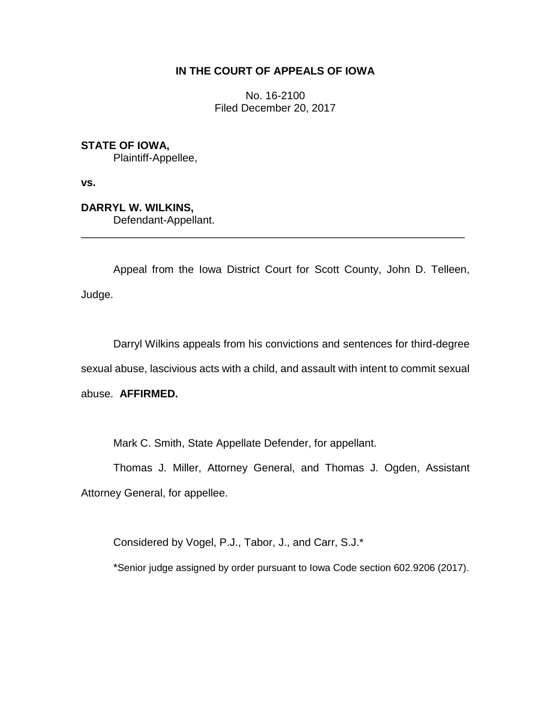# **IN THE COURT OF APPEALS OF IOWA**

No. 16-2100 Filed December 20, 2017

**STATE OF IOWA,**

Plaintiff-Appellee,

**vs.**

**DARRYL W. WILKINS,**

Defendant-Appellant.

Appeal from the Iowa District Court for Scott County, John D. Telleen, Judge.

\_\_\_\_\_\_\_\_\_\_\_\_\_\_\_\_\_\_\_\_\_\_\_\_\_\_\_\_\_\_\_\_\_\_\_\_\_\_\_\_\_\_\_\_\_\_\_\_\_\_\_\_\_\_\_\_\_\_\_\_\_\_\_\_

Darryl Wilkins appeals from his convictions and sentences for third-degree sexual abuse, lascivious acts with a child, and assault with intent to commit sexual abuse. **AFFIRMED.**

Mark C. Smith, State Appellate Defender, for appellant.

Thomas J. Miller, Attorney General, and Thomas J. Ogden, Assistant Attorney General, for appellee.

Considered by Vogel, P.J., Tabor, J., and Carr, S.J.\*

\*Senior judge assigned by order pursuant to Iowa Code section 602.9206 (2017).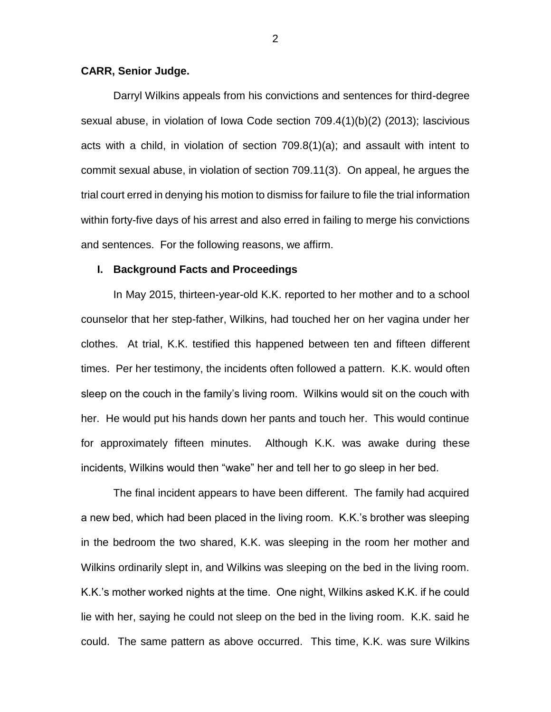#### **CARR, Senior Judge.**

Darryl Wilkins appeals from his convictions and sentences for third-degree sexual abuse, in violation of Iowa Code section 709.4(1)(b)(2) (2013); lascivious acts with a child, in violation of section 709.8(1)(a); and assault with intent to commit sexual abuse, in violation of section 709.11(3). On appeal, he argues the trial court erred in denying his motion to dismiss for failure to file the trial information within forty-five days of his arrest and also erred in failing to merge his convictions and sentences. For the following reasons, we affirm.

#### **I. Background Facts and Proceedings**

In May 2015, thirteen-year-old K.K. reported to her mother and to a school counselor that her step-father, Wilkins, had touched her on her vagina under her clothes. At trial, K.K. testified this happened between ten and fifteen different times. Per her testimony, the incidents often followed a pattern. K.K. would often sleep on the couch in the family's living room. Wilkins would sit on the couch with her. He would put his hands down her pants and touch her. This would continue for approximately fifteen minutes. Although K.K. was awake during these incidents, Wilkins would then "wake" her and tell her to go sleep in her bed.

The final incident appears to have been different. The family had acquired a new bed, which had been placed in the living room. K.K.'s brother was sleeping in the bedroom the two shared, K.K. was sleeping in the room her mother and Wilkins ordinarily slept in, and Wilkins was sleeping on the bed in the living room. K.K.'s mother worked nights at the time. One night, Wilkins asked K.K. if he could lie with her, saying he could not sleep on the bed in the living room. K.K. said he could. The same pattern as above occurred. This time, K.K. was sure Wilkins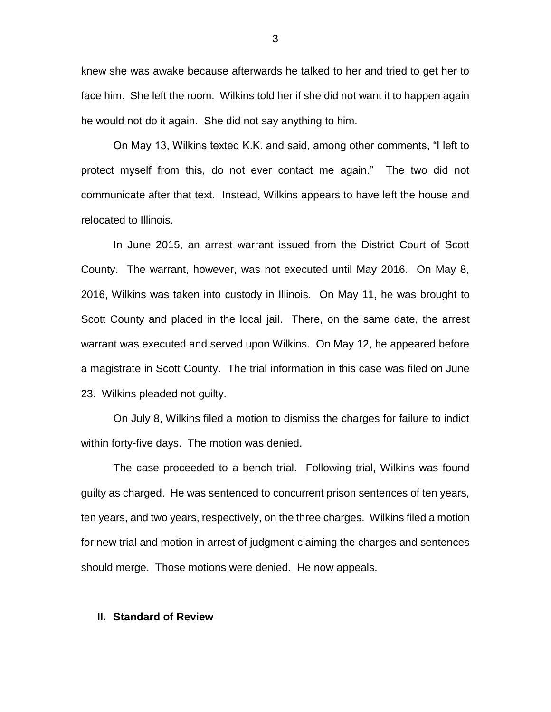knew she was awake because afterwards he talked to her and tried to get her to face him. She left the room. Wilkins told her if she did not want it to happen again he would not do it again. She did not say anything to him.

On May 13, Wilkins texted K.K. and said, among other comments, "I left to protect myself from this, do not ever contact me again." The two did not communicate after that text. Instead, Wilkins appears to have left the house and relocated to Illinois.

In June 2015, an arrest warrant issued from the District Court of Scott County. The warrant, however, was not executed until May 2016. On May 8, 2016, Wilkins was taken into custody in Illinois. On May 11, he was brought to Scott County and placed in the local jail. There, on the same date, the arrest warrant was executed and served upon Wilkins. On May 12, he appeared before a magistrate in Scott County. The trial information in this case was filed on June 23. Wilkins pleaded not guilty.

On July 8, Wilkins filed a motion to dismiss the charges for failure to indict within forty-five days. The motion was denied.

The case proceeded to a bench trial. Following trial, Wilkins was found guilty as charged. He was sentenced to concurrent prison sentences of ten years, ten years, and two years, respectively, on the three charges. Wilkins filed a motion for new trial and motion in arrest of judgment claiming the charges and sentences should merge. Those motions were denied. He now appeals.

#### **II. Standard of Review**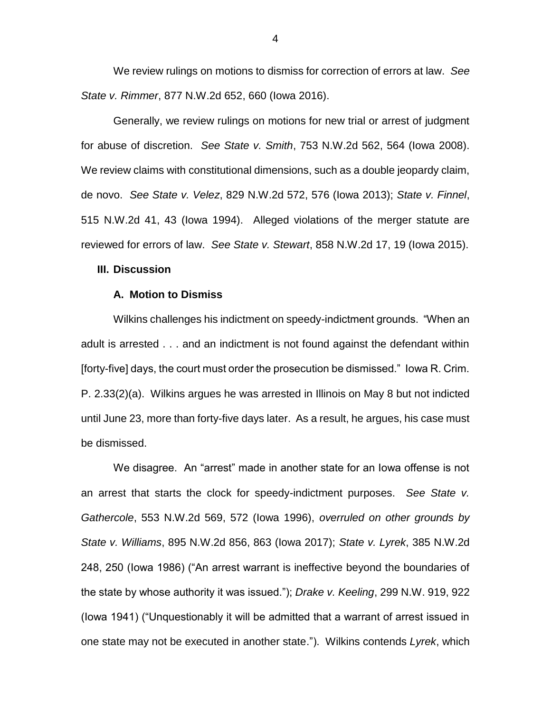We review rulings on motions to dismiss for correction of errors at law. *See State v. Rimmer*, 877 N.W.2d 652, 660 (Iowa 2016).

Generally, we review rulings on motions for new trial or arrest of judgment for abuse of discretion. *See State v. Smith*, 753 N.W.2d 562, 564 (Iowa 2008). We review claims with constitutional dimensions, such as a double jeopardy claim, de novo. *See State v. Velez*, 829 N.W.2d 572, 576 (Iowa 2013); *State v. Finnel*, 515 N.W.2d 41, 43 (Iowa 1994). Alleged violations of the merger statute are reviewed for errors of law. *See State v. Stewart*, 858 N.W.2d 17, 19 (Iowa 2015).

## **III. Discussion**

#### **A. Motion to Dismiss**

Wilkins challenges his indictment on speedy-indictment grounds. "When an adult is arrested . . . and an indictment is not found against the defendant within [forty-five] days, the court must order the prosecution be dismissed." Iowa R. Crim. P. 2.33(2)(a). Wilkins argues he was arrested in Illinois on May 8 but not indicted until June 23, more than forty-five days later. As a result, he argues, his case must be dismissed.

We disagree. An "arrest" made in another state for an Iowa offense is not an arrest that starts the clock for speedy-indictment purposes. *See State v. Gathercole*, 553 N.W.2d 569, 572 (Iowa 1996), *overruled on other grounds by State v. Williams*, 895 N.W.2d 856, 863 (Iowa 2017); *State v. Lyrek*, 385 N.W.2d 248, 250 (Iowa 1986) ("An arrest warrant is ineffective beyond the boundaries of the state by whose authority it was issued."); *Drake v. Keeling*, 299 N.W. 919, 922 (Iowa 1941) ("Unquestionably it will be admitted that a warrant of arrest issued in one state may not be executed in another state."). Wilkins contends *Lyrek*, which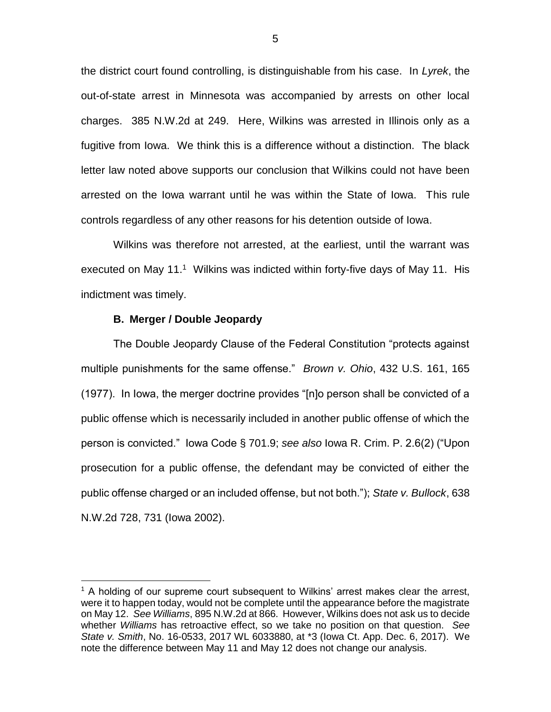the district court found controlling, is distinguishable from his case. In *Lyrek*, the out-of-state arrest in Minnesota was accompanied by arrests on other local charges. 385 N.W.2d at 249. Here, Wilkins was arrested in Illinois only as a fugitive from Iowa. We think this is a difference without a distinction. The black letter law noted above supports our conclusion that Wilkins could not have been arrested on the Iowa warrant until he was within the State of Iowa. This rule controls regardless of any other reasons for his detention outside of Iowa.

Wilkins was therefore not arrested, at the earliest, until the warrant was executed on May 11.<sup>1</sup> Wilkins was indicted within forty-five days of May 11. His indictment was timely.

### **B. Merger / Double Jeopardy**

 $\overline{a}$ 

The Double Jeopardy Clause of the Federal Constitution "protects against multiple punishments for the same offense." *Brown v. Ohio*, 432 U.S. 161, 165 (1977). In Iowa, the merger doctrine provides "[n]o person shall be convicted of a public offense which is necessarily included in another public offense of which the person is convicted." Iowa Code § 701.9; *see also* Iowa R. Crim. P. 2.6(2) ("Upon prosecution for a public offense, the defendant may be convicted of either the public offense charged or an included offense, but not both."); *State v. Bullock*, 638 N.W.2d 728, 731 (Iowa 2002).

 $<sup>1</sup>$  A holding of our supreme court subsequent to Wilkins' arrest makes clear the arrest,</sup> were it to happen today, would not be complete until the appearance before the magistrate on May 12. *See Williams*, 895 N.W.2d at 866. However, Wilkins does not ask us to decide whether *Williams* has retroactive effect, so we take no position on that question. *See State v. Smith*, No. 16-0533, 2017 WL 6033880, at \*3 (Iowa Ct. App. Dec. 6, 2017). We note the difference between May 11 and May 12 does not change our analysis.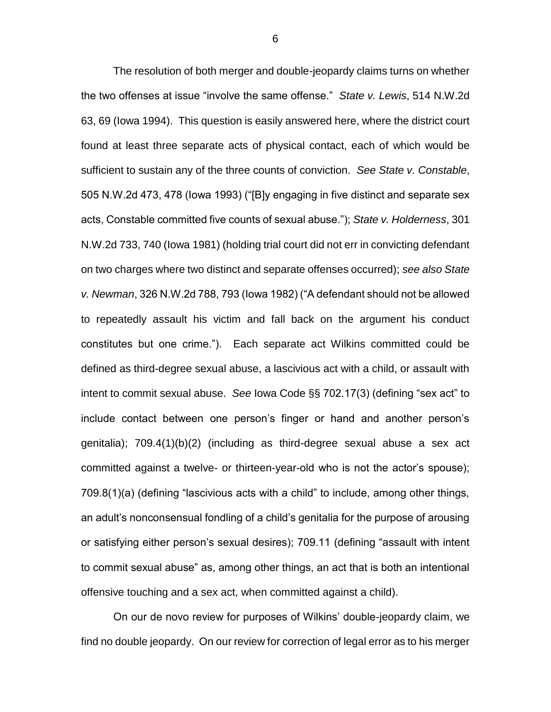The resolution of both merger and double-jeopardy claims turns on whether the two offenses at issue "involve the same offense." *State v. Lewis*, 514 N.W.2d 63, 69 (Iowa 1994). This question is easily answered here, where the district court found at least three separate acts of physical contact, each of which would be sufficient to sustain any of the three counts of conviction. *See State v. Constable*, 505 N.W.2d 473, 478 (Iowa 1993) ("[B]y engaging in five distinct and separate sex acts, Constable committed five counts of sexual abuse."); *State v. Holderness*, 301 N.W.2d 733, 740 (Iowa 1981) (holding trial court did not err in convicting defendant on two charges where two distinct and separate offenses occurred); *see also State v. Newman*, 326 N.W.2d 788, 793 (Iowa 1982) ("A defendant should not be allowed to repeatedly assault his victim and fall back on the argument his conduct constitutes but one crime."). Each separate act Wilkins committed could be defined as third-degree sexual abuse, a lascivious act with a child, or assault with intent to commit sexual abuse. *See* Iowa Code §§ 702.17(3) (defining "sex act" to include contact between one person's finger or hand and another person's genitalia); 709.4(1)(b)(2) (including as third-degree sexual abuse a sex act committed against a twelve- or thirteen-year-old who is not the actor's spouse); 709.8(1)(a) (defining "lascivious acts with a child" to include, among other things, an adult's nonconsensual fondling of a child's genitalia for the purpose of arousing or satisfying either person's sexual desires); 709.11 (defining "assault with intent to commit sexual abuse" as, among other things, an act that is both an intentional offensive touching and a sex act, when committed against a child).

On our de novo review for purposes of Wilkins' double-jeopardy claim, we find no double jeopardy. On our review for correction of legal error as to his merger